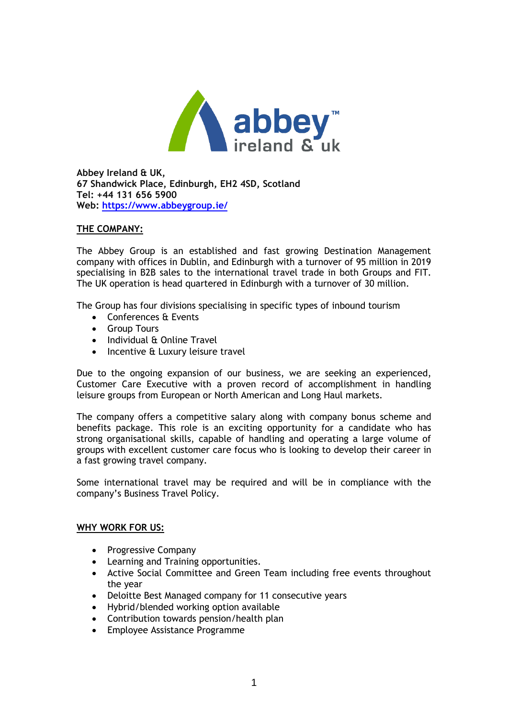

**Abbey Ireland & UK, 67 Shandwick Place, Edinburgh, EH2 4SD, Scotland Tel: +44 131 656 5900 Web:<https://www.abbeygroup.ie/>**

### **THE COMPANY:**

The Abbey Group is an established and fast growing Destination Management company with offices in Dublin, and Edinburgh with a turnover of 95 million in 2019 specialising in B2B sales to the international travel trade in both Groups and FIT. The UK operation is head quartered in Edinburgh with a turnover of 30 million.

The Group has four divisions specialising in specific types of inbound tourism

- Conferences & Events
- Group Tours
- Individual & Online Travel
- Incentive & Luxury leisure travel

Due to the ongoing expansion of our business, we are seeking an experienced, Customer Care Executive with a proven record of accomplishment in handling leisure groups from European or North American and Long Haul markets.

The company offers a competitive salary along with company bonus scheme and benefits package. This role is an exciting opportunity for a candidate who has strong organisational skills, capable of handling and operating a large volume of groups with excellent customer care focus who is looking to develop their career in a fast growing travel company.

Some international travel may be required and will be in compliance with the company's Business Travel Policy.

### **WHY WORK FOR US:**

- Progressive Company
- Learning and Training opportunities.
- Active Social Committee and Green Team including free events throughout the year
- Deloitte Best Managed company for 11 consecutive years
- Hybrid/blended working option available
- Contribution towards pension/health plan
- Employee Assistance Programme